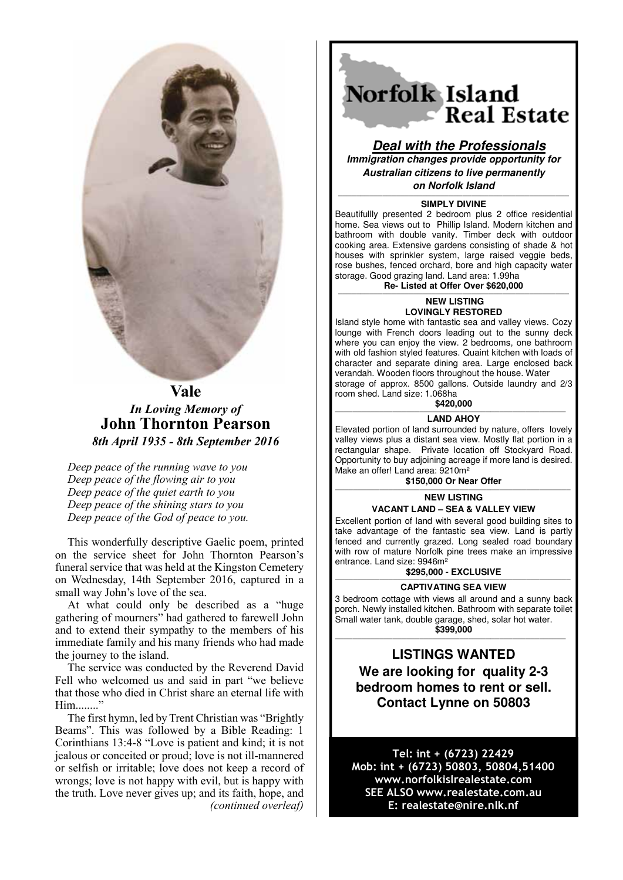

# **Vale** *In Loving Memory of* **John Thornton Pearson** *8th April 1935 - 8th September 2016*

*Deep peace of the running wave to you Deep peace of the flowing air to you Deep peace of the quiet earth to you Deep peace of the shining stars to you Deep peace of the God of peace to you.*

This wonderfully descriptive Gaelic poem, printed on the service sheet for John Thornton Pearson's funeral service that was held at the Kingston Cemetery on Wednesday, 14th September 2016, captured in a small way John's love of the sea.

At what could only be described as a "huge gathering of mourners" had gathered to farewell John and to extend their sympathy to the members of his immediate family and his many friends who had made the journey to the island.

The service was conducted by the Reverend David Fell who welcomed us and said in part "we believe that those who died in Christ share an eternal life with Him........<sup>"</sup>

The first hymn, led by Trent Christian was "Brightly Beams". This was followed by a Bible Reading: 1 Corinthians 13:4-8 "Love is patient and kind; it is not jealous or conceited or proud; love is not ill-mannered or selfish or irritable; love does not keep a record of wrongs; love is not happy with evil, but is happy with the truth. Love never gives up; and its faith, hope, and *(continued overleaf)*

# Norfolk Island **Real Estate**

**Deal with the Professionals Immigration changes provide opportunity for Australian citizens to live permanently on Norfolk Island**

#### ———————————————————————————————————————————————————— **SIMPLY DIVINE**

Beautifullly presented 2 bedroom plus 2 office residential home. Sea views out to Phillip Island. Modern kitchen and bathroom with double vanity. Timber deck with outdoor cooking area. Extensive gardens consisting of shade & hot houses with sprinkler system, large raised veggie beds, rose bushes, fenced orchard, bore and high capacity water storage. Good grazing land. Land area: 1.99ha

**Re- Listed at Offer Over \$620,000** 

#### ————————————————————————————————————————————————————  **NEW LISTING LOVINGLY RESTORED**

Island style home with fantastic sea and valley views. Cozy lounge with French doors leading out to the sunny deck where you can enjoy the view. 2 bedrooms, one bathroom with old fashion styled features. Quaint kitchen with loads of character and separate dining area. Large enclosed back verandah. Wooden floors throughout the house. Water storage of approx. 8500 gallons. Outside laundry and 2/3

room shed. Land size: 1.068ha<br>\$420.000 **\$420,000** ————————————————————————————————————————————————————

## **LAND AHOY**

Elevated portion of land surrounded by nature, offers lovely valley views plus a distant sea view. Mostly flat portion in a rectangular shape. Private location off Stockyard Road. Opportunity to buy adjoining acreage if more land is desired. Make an offer! Land area: 9210m²

**\$150,000 Or Near Offer** 

#### ————————————————————————————————————————————————————— **NEW LISTING**

**VACANT LAND – SEA & VALLEY VIEW** 

Excellent portion of land with several good building sites to take advantage of the fantastic sea view. Land is partly fenced and currently grazed. Long sealed road boundary with row of mature Norfolk pine trees make an impressive entrance. Land size: 9946m²

# $$295,000 - EXCLUSIVE$

# **CAPTIVATING SEA VIEW**

3 bedroom cottage with views all around and a sunny back porch. Newly installed kitchen. Bathroom with separate toilet Small water tank, double garage, shed, solar hot water.

**\$399,000** ————————————————————————————————————————————————————

# **LISTINGS WANTED**

**We are looking for quality 2-3 bedroom homes to rent or sell. Contact Lynne on 50803** 

Tel: int + (6723) 22429 Mob: int + (6723) 50803, 50804,51400 www.norfolkislrealestate.com SEE ALSO www.realestate.com.au E: realestate@nire.nlk.nf